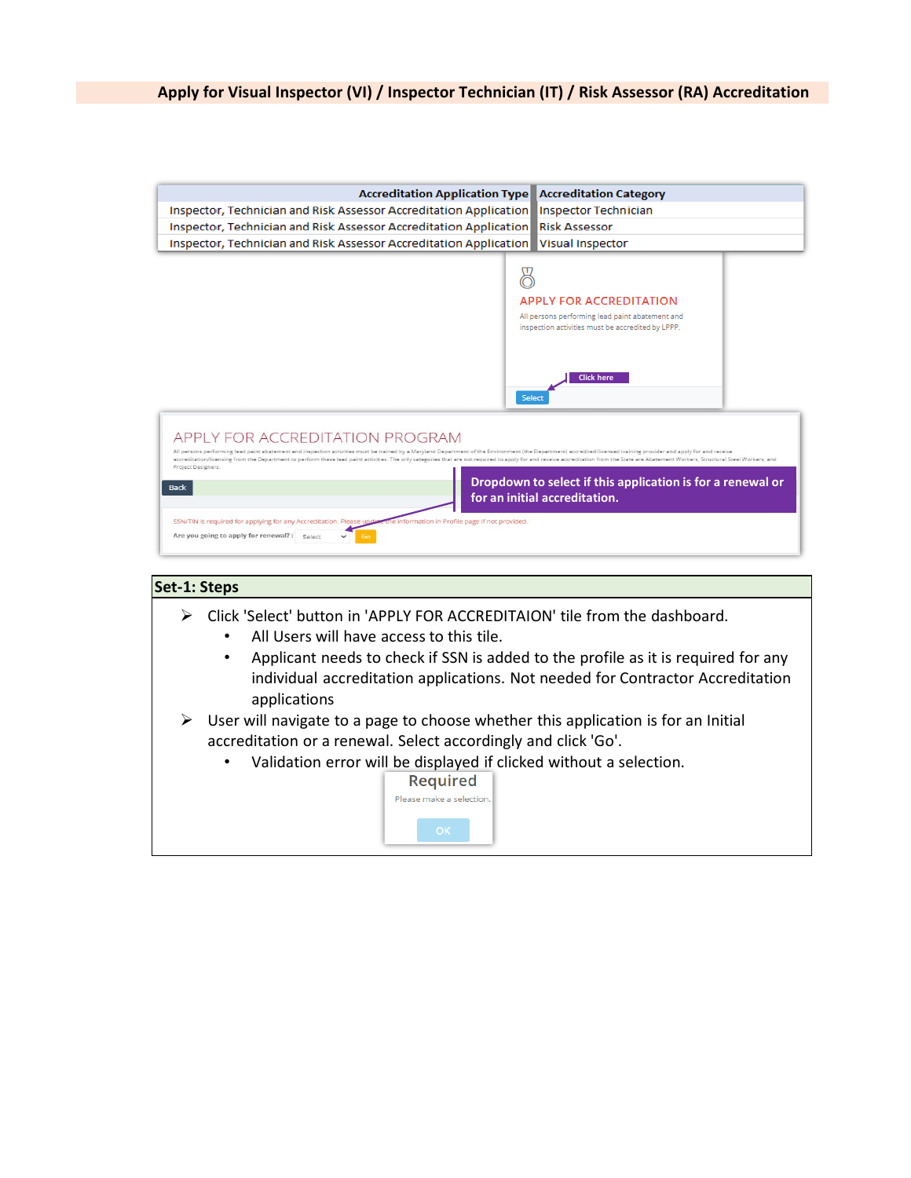

- Click 'Select' button in 'APPLY FOR ACCREDITAION' tile from the dashboard.
	- All Users will have access to this tile.
	- Applicant needs to check if SSN is added to the profile as it is required for any individual accreditation applications. Not needed for Contractor Accreditation applications
- $\triangleright$  User will navigate to a page to choose whether this application is for an Initial accreditation or a renewal. Select accordingly and click 'Go'.
	- Validation error will be displayed if clicked without a selection.

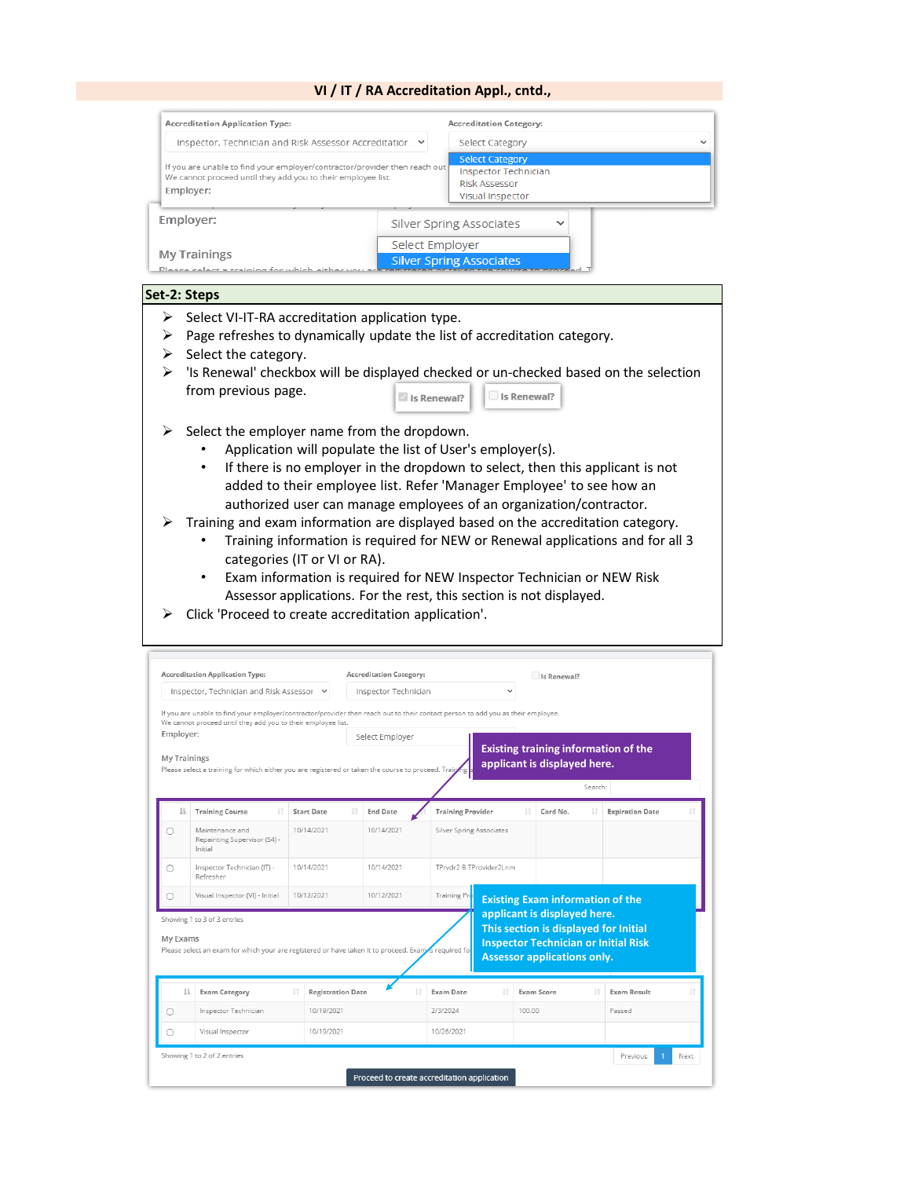### **VI / IT / RA Accreditation Appl., cntd.,**

| <b>Accreditation Application Type:</b>                                                                                                                  |                 | <b>Accreditation Category:</b>                                                                           |              |  |  |  |
|---------------------------------------------------------------------------------------------------------------------------------------------------------|-----------------|----------------------------------------------------------------------------------------------------------|--------------|--|--|--|
| Inspector, Technician and Risk Assessor Accreditatior<br>$\checkmark$                                                                                   |                 | Select Category                                                                                          | $\checkmark$ |  |  |  |
| If you are unable to find your employer/contractor/provider then reach out<br>We cannot proceed until they add you to their employee list.<br>Employer: |                 | <b>Select Category</b><br><b>Inspector Technician</b><br><b>Risk Assessor</b><br><b>Visual Inspector</b> |              |  |  |  |
| Employer:                                                                                                                                               |                 | Silver Spring Associates<br>$\checkmark$                                                                 |              |  |  |  |
| <b>My Trainings</b><br>Please select a training for which either you are registed                                                                       | Select Employer | <b>Silver Spring Associates</b>                                                                          |              |  |  |  |

### **Set-2: Steps**

- $\triangleright$  Select VI-IT-RA accreditation application type.
- $\triangleright$  Page refreshes to dynamically update the list of accreditation category.
- $\triangleright$  Select the category.
- $\triangleright$  'Is Renewal' checkbox will be displayed checked or un-checked based on the selection from previous page. Is Renewal?  $\square$  Is Renewal?
- $\triangleright$  Select the employer name from the dropdown.
	- Application will populate the list of User's employer(s).
	- If there is no employer in the dropdown to select, then this applicant is not added to their employee list. Refer 'Manager Employee' to see how an authorized user can manage employees of an organization/contractor.
- $\triangleright$  Training and exam information are displayed based on the accreditation category.
	- Training information is required for NEW or Renewal applications and for all 3 categories (IT or VI or RA).
	- Exam information is required for NEW Inspector Technician or NEW Risk Assessor applications. For the rest, this section is not displayed.
- Click 'Proceed to create accreditation application'.

| <b>Accreditation Application Type:</b>    |                                                                                                                                                                                                  |                          | <b>Accreditation Category:</b> |                 |                          |  |        | Is Renewal?                                                        |         |                                                                                      |    |  |
|-------------------------------------------|--------------------------------------------------------------------------------------------------------------------------------------------------------------------------------------------------|--------------------------|--------------------------------|-----------------|--------------------------|--|--------|--------------------------------------------------------------------|---------|--------------------------------------------------------------------------------------|----|--|
| Inspector, Technician and Risk Assessor Y |                                                                                                                                                                                                  | Inspector Technician     |                                |                 |                          |  |        |                                                                    |         |                                                                                      |    |  |
|                                           | If you are unable to find your employer/contractor/provider then reach out to their contact person to add you as their employee.<br>We cannot proceed until they add you to their employee list. |                          |                                |                 |                          |  |        |                                                                    |         |                                                                                      |    |  |
| Employer:                                 |                                                                                                                                                                                                  |                          |                                | Select Employer |                          |  |        |                                                                    |         |                                                                                      |    |  |
| <b>My Trainings</b>                       | Please select a training for which either you are registered or taken the course to proceed. Train                                                                                               |                          |                                |                 |                          |  |        | applicant is displayed here.                                       |         | <b>Existing training information of the</b>                                          |    |  |
|                                           |                                                                                                                                                                                                  |                          |                                |                 |                          |  |        |                                                                    | Search: |                                                                                      |    |  |
|                                           | <b>Training Course</b>                                                                                                                                                                           | <b>Start Date</b>        |                                | <b>End Date</b> | <b>Training Provider</b> |  |        | Card No.                                                           |         | <b>Expiration Date</b>                                                               |    |  |
| ∩                                         | Maintenance and<br>Repainting Supervisor (S4) -<br>Initial                                                                                                                                       | 10/14/2021               |                                | 10/14/2021      | Silver Spring Associates |  |        |                                                                    |         |                                                                                      |    |  |
| ∩                                         | Inspector Technician (IT) -<br>Refresher                                                                                                                                                         | 10/14/2021               |                                | 10/14/2021      | TPrvdr2 B TProvider2Lnm  |  |        |                                                                    |         |                                                                                      |    |  |
| Ω                                         | Visual Inspector (VI) - Initial                                                                                                                                                                  | 10/12/2021               |                                | 10/12/2021      | <b>Training Pro</b>      |  |        |                                                                    |         | <b>Existing Exam information of the</b>                                              |    |  |
| My Exams                                  | Showing 1 to 3 of 3 entries<br>Please select an exam for which your are registered or have taken it to proceed. Exam is required for                                                             |                          |                                |                 |                          |  |        | applicant is displayed here.<br><b>Assessor applications only.</b> |         | This section is displayed for Initial<br><b>Inspector Technician or Initial Risk</b> |    |  |
| Ιå                                        | <b>Exam Category</b>                                                                                                                                                                             | <b>Registration Date</b> |                                |                 | Exam Date                |  |        | Exam Score                                                         |         | <b>Exam Result</b>                                                                   | 1t |  |
| $\circ$                                   | Inspector Technician                                                                                                                                                                             | 10/19/2021               |                                |                 | 2/3/2024                 |  | 100.00 |                                                                    |         | Passed                                                                               |    |  |
|                                           | Visual Inspector                                                                                                                                                                                 | 10/19/2021               |                                |                 | 10/26/2021               |  |        |                                                                    |         |                                                                                      |    |  |
|                                           |                                                                                                                                                                                                  |                          |                                |                 |                          |  |        |                                                                    |         |                                                                                      |    |  |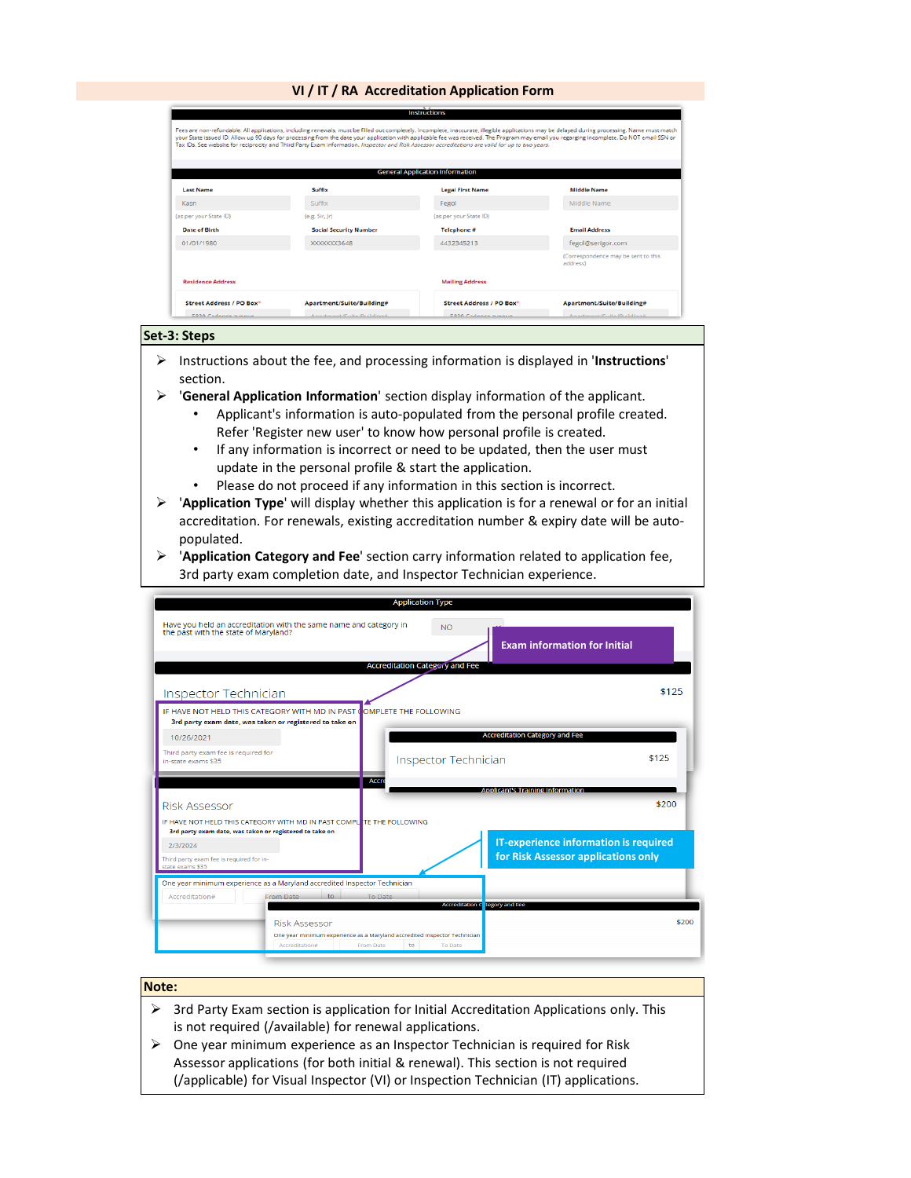### **VI / IT / RA Accreditation Application Form**

|                          |                               | <b>General Application Information</b> |                                                 |
|--------------------------|-------------------------------|----------------------------------------|-------------------------------------------------|
| <b>Last Name</b>         | Suffix                        | <b>Legal First Name</b>                | <b>Middle Name</b>                              |
| Kasn                     | Suffix                        | Fegol                                  | Middle Name                                     |
| (as per your State ID)   | (e.g. Sir, Jr)                | (as per your State ID)                 |                                                 |
| <b>Date of Birth</b>     | <b>Social Security Number</b> | Telephone #                            | <b>Email Address</b>                            |
| 01/01/1980               | XXXXXX3648                    | 4432345213                             | fegol@serigor.com                               |
|                          |                               |                                        | (Correspondence may be sent to this<br>address) |
| <b>Residence Address</b> |                               | <b>Mailing Address</b>                 |                                                 |

#### **Set-3: Steps**

- Instructions about the fee, and processing information is displayed in '**Instructions**' section.
- '**General Application Information**' section display information of the applicant.
	- Applicant's information is auto-populated from the personal profile created. Refer 'Register new user' to know how personal profile is created.
	- If any information is incorrect or need to be updated, then the user must update in the personal profile & start the application.
	- Please do not proceed if any information in this section is incorrect.
- '**Application Type**' will display whether this application is for a renewal or for an initial accreditation. For renewals, existing accreditation number & expiry date will be autopopulated.
- '**Application Category and Fee**' section carry information related to application fee, 3rd party exam completion date, and Inspector Technician experience.

|                                                                                                                                  | <b>Application Type</b>                                                             |
|----------------------------------------------------------------------------------------------------------------------------------|-------------------------------------------------------------------------------------|
| Have you held an accreditation with the same name and category in<br>the past with the state of Maryland?                        | <b>NO</b><br><b>Exam information for Initial</b>                                    |
|                                                                                                                                  | <b>Accreditation Category and Fee</b>                                               |
| Inspector Technician                                                                                                             | \$125                                                                               |
| IF HAVE NOT HELD THIS CATEGORY WITH MD IN PAST COMPLETE THE FOLLOWING<br>3rd party exam date, was taken or registered to take on |                                                                                     |
| 10/26/2021                                                                                                                       | <b>Accreditation Category and Fee</b>                                               |
| Third party exam fee is required for<br>in-state exams \$35                                                                      | \$125<br>Inspector Technician                                                       |
| <b>Accre</b>                                                                                                                     | <b>Applicant's Training Information</b>                                             |
| <b>Risk Assessor</b>                                                                                                             | \$200                                                                               |
| IF HAVE NOT HELD THIS CATEGORY WITH MD IN PAST COMPLETE THE FOLLOWING<br>3rd party exam date, was taken or registered to take on |                                                                                     |
| 2/3/2024<br>Third party exam fee is required for in-<br>state exams \$35                                                         | <b>IT-experience information is required</b><br>for Risk Assessor applications only |
| One year minimum experience as a Maryland accredited Inspector Technician                                                        |                                                                                     |
| Accreditation#<br>From Date<br>to<br>To Date                                                                                     | Accreditation C tegory and Fee                                                      |
| <b>Risk Assessor</b><br>One year minimum experience as a Maryland accredited inspector Technician<br>Accreditation#<br>From Date | \$200<br>to<br><b>To Date</b>                                                       |

## **Note:**

- $\triangleright$  3rd Party Exam section is application for Initial Accreditation Applications only. This is not required (/available) for renewal applications.
- $\triangleright$  One year minimum experience as an Inspector Technician is required for Risk Assessor applications (for both initial & renewal). This section is not required (/applicable) for Visual Inspector (VI) or Inspection Technician (IT) applications.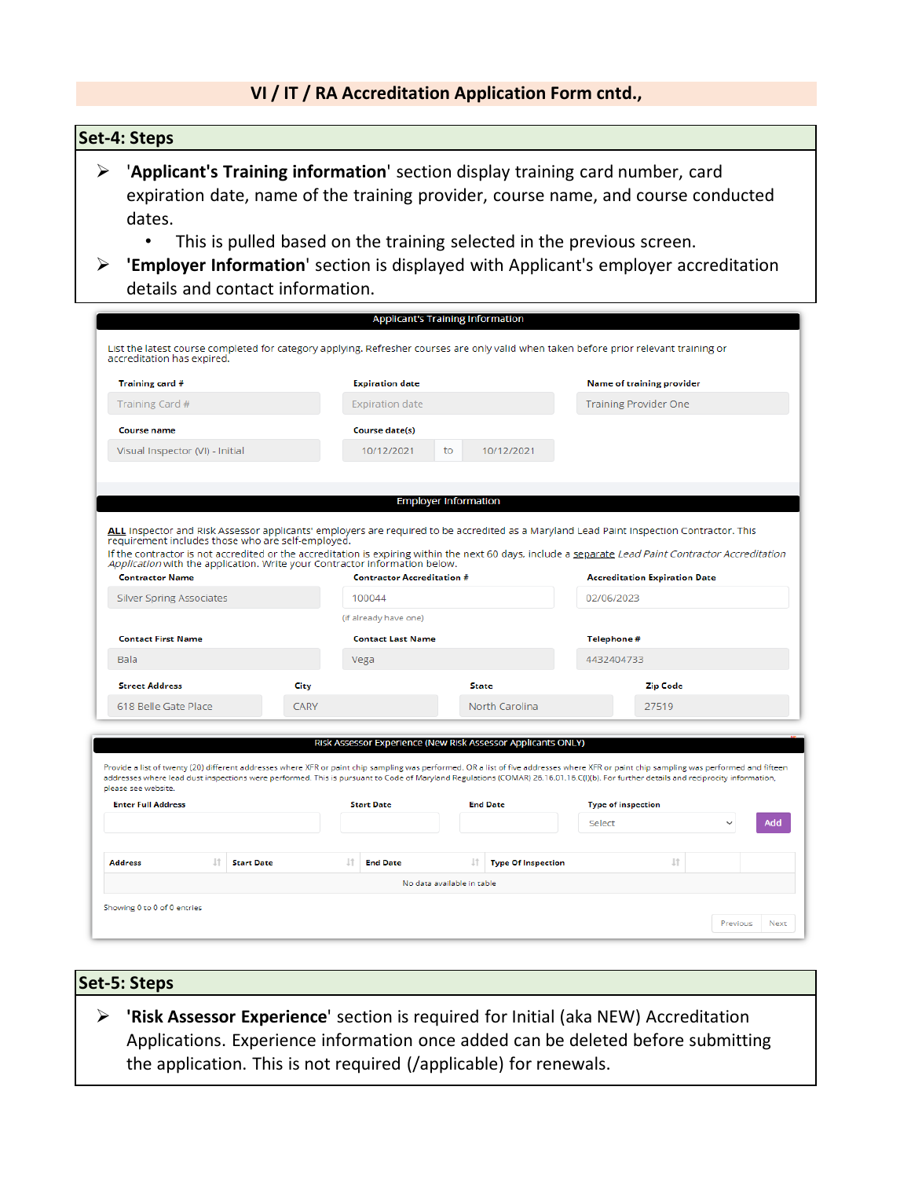# **VI / IT / RA Accreditation Application Form cntd.,**

# **Set-4: Steps**

- '**Applicant's Training information**' section display training card number, card expiration date, name of the training provider, course name, and course conducted dates.
	- This is pulled based on the training selected in the previous screen.
- **'Employer Information**' section is displayed with Applicant's employer accreditation details and contact information.

|                                                                                                                                                           |             |                                   | <b>Applicant's Training Information</b>                      |                                                                                                                                                                                                                                                                                                                                                                                  |
|-----------------------------------------------------------------------------------------------------------------------------------------------------------|-------------|-----------------------------------|--------------------------------------------------------------|----------------------------------------------------------------------------------------------------------------------------------------------------------------------------------------------------------------------------------------------------------------------------------------------------------------------------------------------------------------------------------|
| accreditation has expired.                                                                                                                                |             |                                   |                                                              | List the latest course completed for category applying. Refresher courses are only valid when taken before prior relevant training or                                                                                                                                                                                                                                            |
| Training card #                                                                                                                                           |             | <b>Expiration date</b>            |                                                              | <b>Name of training provider</b>                                                                                                                                                                                                                                                                                                                                                 |
| Training Card #                                                                                                                                           |             | <b>Expiration date</b>            |                                                              | <b>Training Provider One</b>                                                                                                                                                                                                                                                                                                                                                     |
| <b>Course name</b>                                                                                                                                        |             | <b>Course date(s)</b>             |                                                              |                                                                                                                                                                                                                                                                                                                                                                                  |
| Visual Inspector (VI) - Initial                                                                                                                           |             | 10/12/2021                        | 10/12/2021<br>to                                             |                                                                                                                                                                                                                                                                                                                                                                                  |
|                                                                                                                                                           |             |                                   |                                                              |                                                                                                                                                                                                                                                                                                                                                                                  |
|                                                                                                                                                           |             |                                   | <b>Employer Information</b>                                  |                                                                                                                                                                                                                                                                                                                                                                                  |
| requirement includes those who are self-employed.<br>Application with the application. Write your Contractor information below.<br><b>Contractor Name</b> |             | <b>Contractor Accreditation #</b> |                                                              | ALL Inspector and Risk Assessor applicants' employers are required to be accredited as a Maryland Lead Paint Inspection Contractor. This<br>If the contractor is not accredited or the accreditation is expiring within the next 60 days, include a separate Lead Paint Contractor Accreditation<br><b>Accreditation Expiration Date</b>                                         |
| <b>Silver Spring Associates</b>                                                                                                                           |             | 100044                            |                                                              | 02/06/2023                                                                                                                                                                                                                                                                                                                                                                       |
|                                                                                                                                                           |             | (if already have one)             |                                                              |                                                                                                                                                                                                                                                                                                                                                                                  |
| <b>Contact First Name</b>                                                                                                                                 |             | <b>Contact Last Name</b>          |                                                              | Telephone #                                                                                                                                                                                                                                                                                                                                                                      |
| <b>Bala</b>                                                                                                                                               |             | Vega                              |                                                              | 4432404733                                                                                                                                                                                                                                                                                                                                                                       |
| <b>Street Address</b>                                                                                                                                     | City        |                                   | <b>State</b>                                                 | <b>Zip Code</b>                                                                                                                                                                                                                                                                                                                                                                  |
| 618 Belle Gate Place                                                                                                                                      | <b>CARY</b> |                                   | North Carolina                                               | 27519                                                                                                                                                                                                                                                                                                                                                                            |
|                                                                                                                                                           |             |                                   | Risk Assessor Experience (New Risk Assessor Applicants ONLY) | Provide a list of twenty (20) different addresses where XFR or paint chip sampling was performed. OR a list of five addresses where XFR or paint chip sampling was performed and fifteen<br>addresses where lead dust inspections were performed. This is pursuant to Code of Maryland Regulations (COMAR) 26.16.01.16.C(I)(b). For further details and reciprocity information, |
| please see website.<br><b>Enter Full Address</b>                                                                                                          |             | <b>Start Date</b>                 | <b>End Date</b>                                              | <b>Type of inspection</b>                                                                                                                                                                                                                                                                                                                                                        |
|                                                                                                                                                           |             |                                   |                                                              | Select<br>hbA                                                                                                                                                                                                                                                                                                                                                                    |
| 1Ť<br><b>Start Date</b><br><b>Address</b>                                                                                                                 |             | 1Ť<br><b>End Date</b>             | Ιî<br><b>Type Of Inspection</b>                              | 1t                                                                                                                                                                                                                                                                                                                                                                               |
|                                                                                                                                                           |             |                                   |                                                              |                                                                                                                                                                                                                                                                                                                                                                                  |
|                                                                                                                                                           |             |                                   |                                                              |                                                                                                                                                                                                                                                                                                                                                                                  |
|                                                                                                                                                           |             |                                   | No data available in table                                   |                                                                                                                                                                                                                                                                                                                                                                                  |
| Showing 0 to 0 of 0 entries                                                                                                                               |             |                                   |                                                              | Previous<br><b>Next</b>                                                                                                                                                                                                                                                                                                                                                          |

# **Set-5: Steps**

 **'Risk Assessor Experience**' section is required for Initial (aka NEW) Accreditation Applications. Experience information once added can be deleted before submitting the application. This is not required (/applicable) for renewals.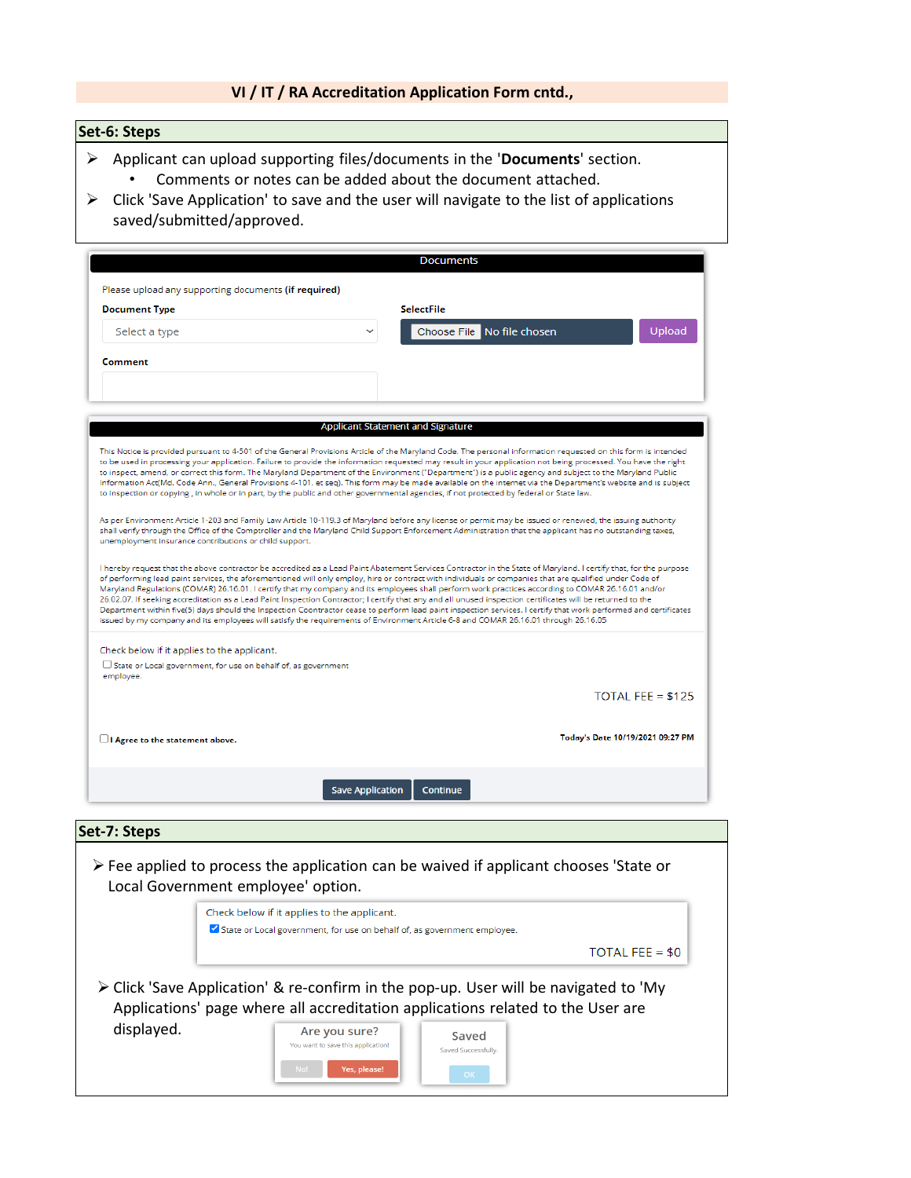# **VI / IT / RA Accreditation Application Form cntd.,**

# **Set-6: Steps**

- Applicant can upload supporting files/documents in the '**Documents**' section. • Comments or notes can be added about the document attached.
- $\triangleright$  Click 'Save Application' to save and the user will navigate to the list of applications saved/submitted/approved.

| Please upload any supporting documents (if required)                               |                                                                                                                                                                                                                                                                                                                                                                                                                                                                                                                                                                                                                                                                                                                                                                                                                                                                                                                                                             |
|------------------------------------------------------------------------------------|-------------------------------------------------------------------------------------------------------------------------------------------------------------------------------------------------------------------------------------------------------------------------------------------------------------------------------------------------------------------------------------------------------------------------------------------------------------------------------------------------------------------------------------------------------------------------------------------------------------------------------------------------------------------------------------------------------------------------------------------------------------------------------------------------------------------------------------------------------------------------------------------------------------------------------------------------------------|
| <b>Document Type</b>                                                               | <b>SelectFile</b>                                                                                                                                                                                                                                                                                                                                                                                                                                                                                                                                                                                                                                                                                                                                                                                                                                                                                                                                           |
| Select a type                                                                      | Choose File No file chosen<br>Uploac                                                                                                                                                                                                                                                                                                                                                                                                                                                                                                                                                                                                                                                                                                                                                                                                                                                                                                                        |
| Comment                                                                            |                                                                                                                                                                                                                                                                                                                                                                                                                                                                                                                                                                                                                                                                                                                                                                                                                                                                                                                                                             |
|                                                                                    |                                                                                                                                                                                                                                                                                                                                                                                                                                                                                                                                                                                                                                                                                                                                                                                                                                                                                                                                                             |
|                                                                                    |                                                                                                                                                                                                                                                                                                                                                                                                                                                                                                                                                                                                                                                                                                                                                                                                                                                                                                                                                             |
|                                                                                    | Applicant Statement and Signature                                                                                                                                                                                                                                                                                                                                                                                                                                                                                                                                                                                                                                                                                                                                                                                                                                                                                                                           |
|                                                                                    | This Notice is provided pursuant to 4-501 of the General Provisions Article of the Maryland Code. The personal information requested on this form is intended<br>to be used in processing your application. Failure to provide the information requested may result in your application not being processed. You have the right<br>to inspect, amend, or correct this form. The Maryland Department of the Environment ("Department") is a public agency and subject to the Maryland Public<br>Information Act(Md. Code Ann., General Provisions 4-101. et seq). This form may be made available on the internet via the Department's website and is subject<br>to inspection or copying, in whole or in part, by the public and other governmental agencies, if not protected by federal or State law.                                                                                                                                                     |
| unemployment insurance contributions or child support.                             | As per Environment Article 1-203 and Family Law Article 10-119.3 of Maryland before any license or permit may be issued or renewed, the issuing authority<br>shall verify through the Office of the Comptroller and the Maryland Child Support Enforcement Administration that the applicant has no outstanding taxes,                                                                                                                                                                                                                                                                                                                                                                                                                                                                                                                                                                                                                                      |
|                                                                                    | I hereby request that the above contractor be accredited as a Lead Paint Abatement Services Contractor in the State of Maryland. I certify that, for the purpose<br>of performing lead paint services, the aforementioned will only employ, hire or contract with individuals or companies that are qualified under Code of<br>Maryland Regulations (COMAR) 26.16.01. I certify that my company and its employees shall perform work practices according to COMAR 26.16.01 and/or<br>26.02.07. If seeking accreditation as a Lead Paint Inspection Contractor; I certify that any and all unused inspection certificates will be returned to the<br>Department within five(5) days should the Inspection Coontractor cease to perform lead paint inspection services. I certify that work performed and certificates<br>issued by my company and its employees will satisfy the requirements of Environment Article 6-8 and COMAR 26.16.01 through 26.16.05 |
| Check below if it applies to the applicant.                                        |                                                                                                                                                                                                                                                                                                                                                                                                                                                                                                                                                                                                                                                                                                                                                                                                                                                                                                                                                             |
| $\Box$ State or Local government, for use on behalf of, as government<br>employee. |                                                                                                                                                                                                                                                                                                                                                                                                                                                                                                                                                                                                                                                                                                                                                                                                                                                                                                                                                             |
|                                                                                    | $TOTAI$ FFF = \$125                                                                                                                                                                                                                                                                                                                                                                                                                                                                                                                                                                                                                                                                                                                                                                                                                                                                                                                                         |
| $\Box$ I Agree to the statement above.                                             | Today's Date 10/19/2021 09:27 PM                                                                                                                                                                                                                                                                                                                                                                                                                                                                                                                                                                                                                                                                                                                                                                                                                                                                                                                            |
|                                                                                    |                                                                                                                                                                                                                                                                                                                                                                                                                                                                                                                                                                                                                                                                                                                                                                                                                                                                                                                                                             |

 Fee applied to process the application can be waived if applicant chooses 'State or Local Government employee' option.

> Are you sure? You want to save this application!

> > Yes, please!

| Check below if it applies to the applicant.<br>State or Local government, for use on behalf of, as government employee.                                                                |                  |
|----------------------------------------------------------------------------------------------------------------------------------------------------------------------------------------|------------------|
|                                                                                                                                                                                        | TOTAL FEE = $$0$ |
| $\triangleright$ Click 'Save Application' & re-confirm in the pop-up. User will be navigated to 'My<br>Applications' page where all accreditation applications related to the User are |                  |

displayed.

| Saved               |  |
|---------------------|--|
| Saved Successfully. |  |
| OK                  |  |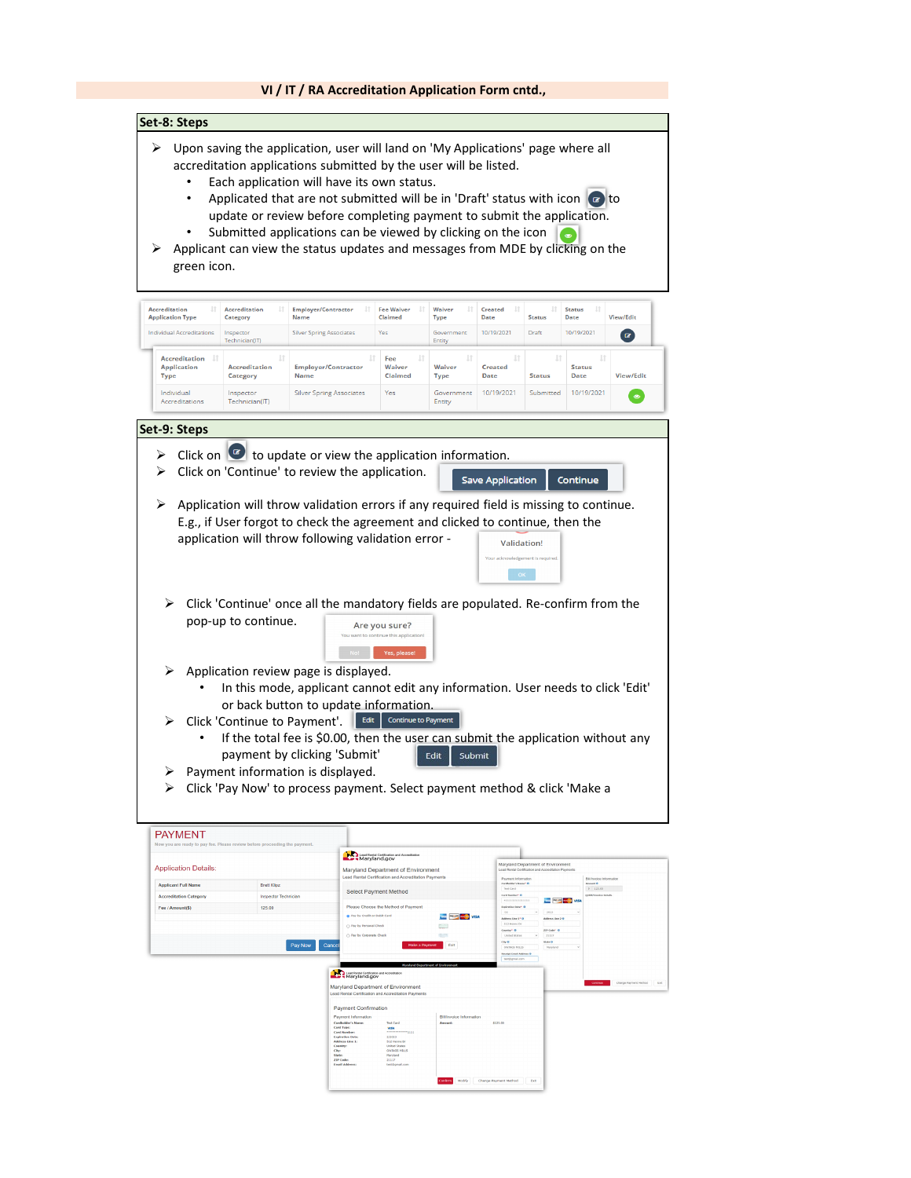#### **VI / IT / RA Accreditation Application Form cntd., Set-8: Steps**  $\triangleright$  Upon saving the application, user will land on 'My Applications' page where all accreditation applications submitted by the user will be listed. Each application will have its own status. Applicated that are not submitted will be in 'Draft' status with icon  $\bullet$  to update or review before completing payment to submit the application. Submitted applications can be viewed by clicking on the icon  $\triangleright$  Applicant can view the status updates and messages from MDE by clicking on the green icon. **Accreditation**<br>Application Type **Accreditation**<br>Category Employer/Contractor<br>Name **Fee Waiver**<br>Claimed **Waiv** Created<br>Date Statu:<br>Date **Type** Status **View/Edit** Individual Accredit **Silver Spring Associates** Yes Government 10/19/2021 Draft 10/19/2021  $\alpha$ Accreditation Fee Application Accreditation Employer/Contractor Waive Waiver Created Status Type<sup>1</sup> Category Claimed **Type** Date Status Date View/Edit Individu Inspector<br>Technician(IT) **Silver Spring Associates Yes** Gover<br>Entity 10/19/2021  $\zeta_{\rm th}$ 10/19/2021  $\bullet$ **Individual**<br>Accreditation **Set-9: Steps**  $\triangleright$  Click on  $\bullet$  to update or view the application information.  $\triangleright$  Click on 'Continue' to review the application. Save Application Continue  $\triangleright$  Application will throw validation errors if any required field is missing to continue. E.g., if User forgot to check the agreement and clicked to continue, then the application will throw following validation error - Validation!  $\overline{\phantom{a}}$  ok  $\triangleright$  Click 'Continue' once all the mandatory fields are populated. Re-confirm from the pop-up to continue. Are you sure? No! Yes, plea  $\triangleright$  Application review page is displayed. • In this mode, applicant cannot edit any information. User needs to click 'Edit' or back button to update information. > Click 'Continue to Payment'. Edit Continue to Paym If the total fee is \$0.00, then the user can submit the application without any payment by clicking 'Submit' Edit Submit  $\triangleright$  Payment information is displayed.  $\triangleright$  Click 'Pay Now' to process payment. Select payment method & click 'Make a **PAYMENT** Lead Rental Certification and Accred<br>Maryland.gov **Application Details** Maryland Department of Environment **Applicant Full Nam** Select Payment Metho  $= -1$ **The Figure Way**  $\sim$  Bay for B Pay Now Can Lead Restal Certification of Maryland Department of Environment Pay Cardholds<br>Card Type<br>Card Num<br>Copiration<br>Address L<br>Country<br>Chy:<br>State:<br>ZIP Code:<br>Trool Add